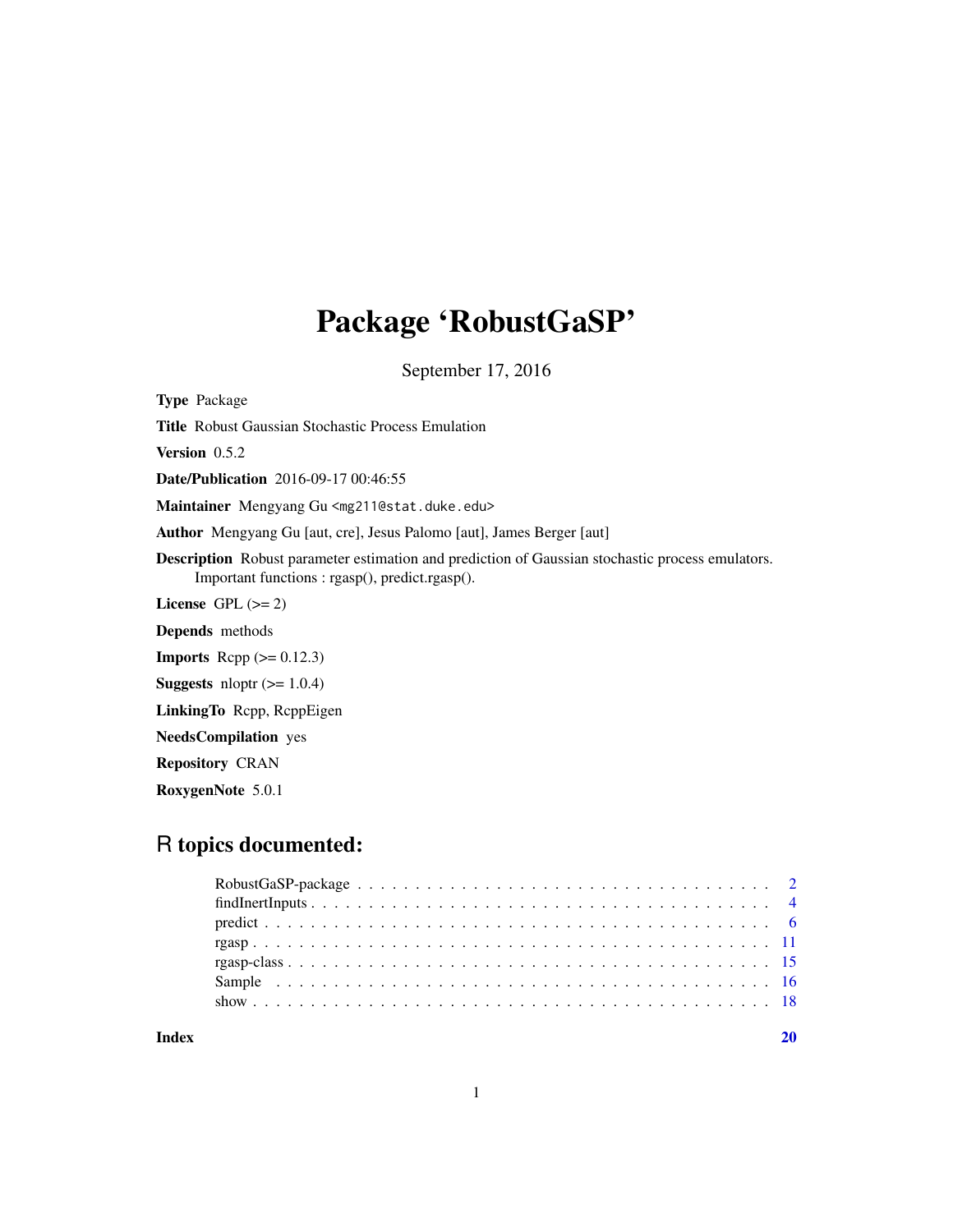# Package 'RobustGaSP'

September 17, 2016

Type Package

Title Robust Gaussian Stochastic Process Emulation

Version 0.5.2

Date/Publication 2016-09-17 00:46:55

Maintainer Mengyang Gu <mg211@stat.duke.edu>

Author Mengyang Gu [aut, cre], Jesus Palomo [aut], James Berger [aut]

Description Robust parameter estimation and prediction of Gaussian stochastic process emulators. Important functions : rgasp(), predict.rgasp().

License GPL  $(>= 2)$ 

Depends methods

**Imports** Rcpp  $(>= 0.12.3)$ 

**Suggests** nloptr  $(>= 1.0.4)$ 

LinkingTo Rcpp, RcppEigen

NeedsCompilation yes

Repository CRAN

RoxygenNote 5.0.1

# R topics documented:

| Index |  |
|-------|--|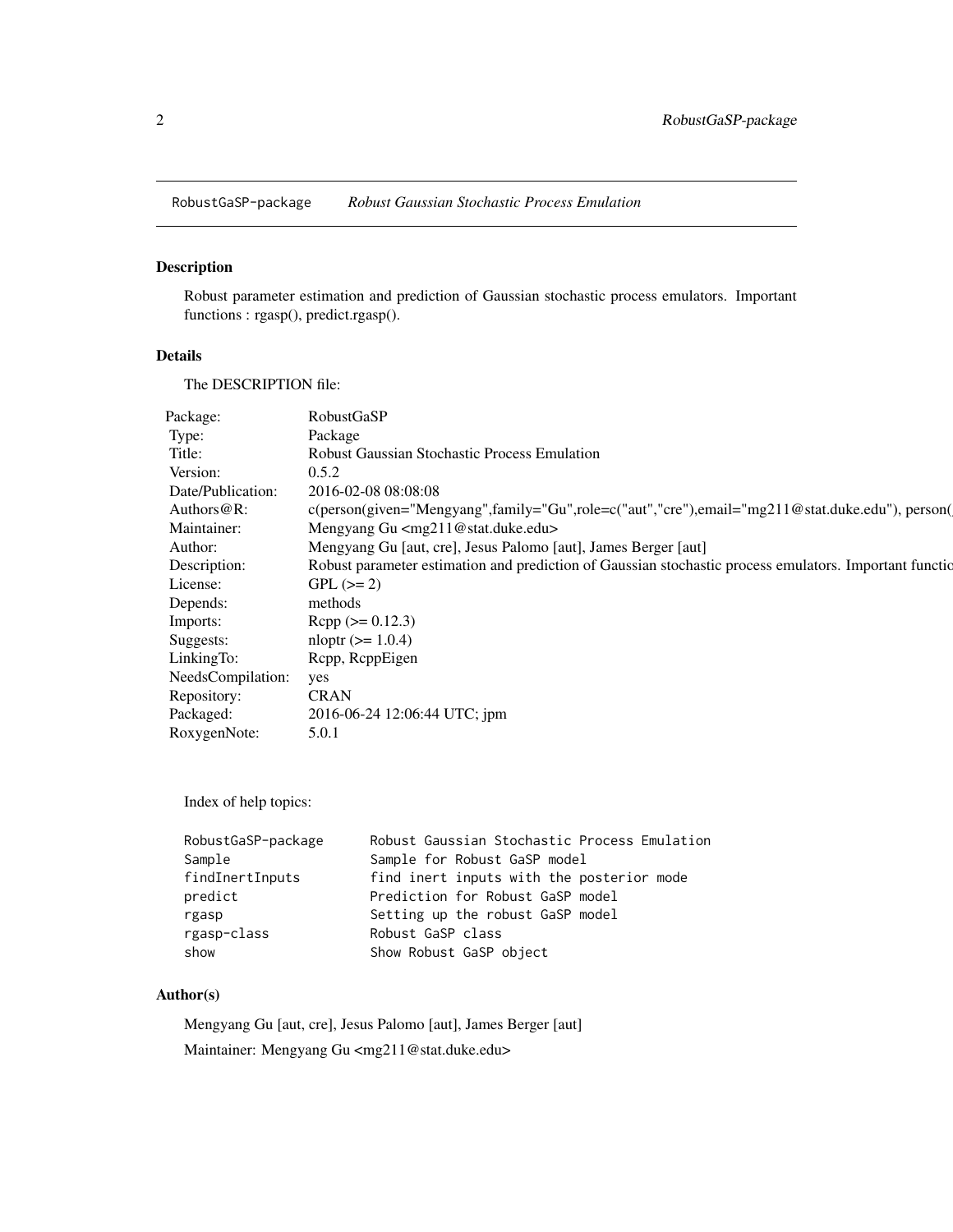<span id="page-1-0"></span>RobustGaSP-package *Robust Gaussian Stochastic Process Emulation*

# <span id="page-1-1"></span>Description

Robust parameter estimation and prediction of Gaussian stochastic process emulators. Important functions : rgasp(), predict.rgasp().

# Details

The DESCRIPTION file:

| Package:          | <b>RobustGaSP</b>                                                                                       |
|-------------------|---------------------------------------------------------------------------------------------------------|
| Type:             | Package                                                                                                 |
| Title:            | <b>Robust Gaussian Stochastic Process Emulation</b>                                                     |
| Version:          | 0.5.2                                                                                                   |
| Date/Publication: | 2016-02-08 08:08:08                                                                                     |
| Authors $@R$ :    | c(person(given="Mengyang",family="Gu",role=c("aut","cre"),email="mg211@stat.duke.edu"), person(         |
| Maintainer:       | Mengyang Gu <mg211@stat.duke.edu></mg211@stat.duke.edu>                                                 |
| Author:           | Mengyang Gu [aut, cre], Jesus Palomo [aut], James Berger [aut]                                          |
| Description:      | Robust parameter estimation and prediction of Gaussian stochastic process emulators. Important function |
| License:          | $GPL (=2)$                                                                                              |
| Depends:          | methods                                                                                                 |
| Imports:          | $\text{Rcpp} (> = 0.12.3)$                                                                              |
| Suggests:         | $nloptr (= 1.0.4)$                                                                                      |
| LinkingTo:        | Rcpp, RcppEigen                                                                                         |
| NeedsCompilation: | yes                                                                                                     |
| Repository:       | <b>CRAN</b>                                                                                             |
| Packaged:         | 2016-06-24 12:06:44 UTC; jpm                                                                            |
| RoxygenNote:      | 5.0.1                                                                                                   |
|                   |                                                                                                         |

Index of help topics:

| RobustGaSP-package | Robust Gaussian Stochastic Process Emulation |
|--------------------|----------------------------------------------|
| Sample             | Sample for Robust GaSP model                 |
| findInertInputs    | find inert inputs with the posterior mode    |
| predict            | Prediction for Robust GaSP model             |
| rgasp              | Setting up the robust GaSP model             |
| rgasp-class        | Robust GaSP class                            |
| show               | Show Robust GaSP object                      |

# Author(s)

Mengyang Gu [aut, cre], Jesus Palomo [aut], James Berger [aut] Maintainer: Mengyang Gu <mg211@stat.duke.edu>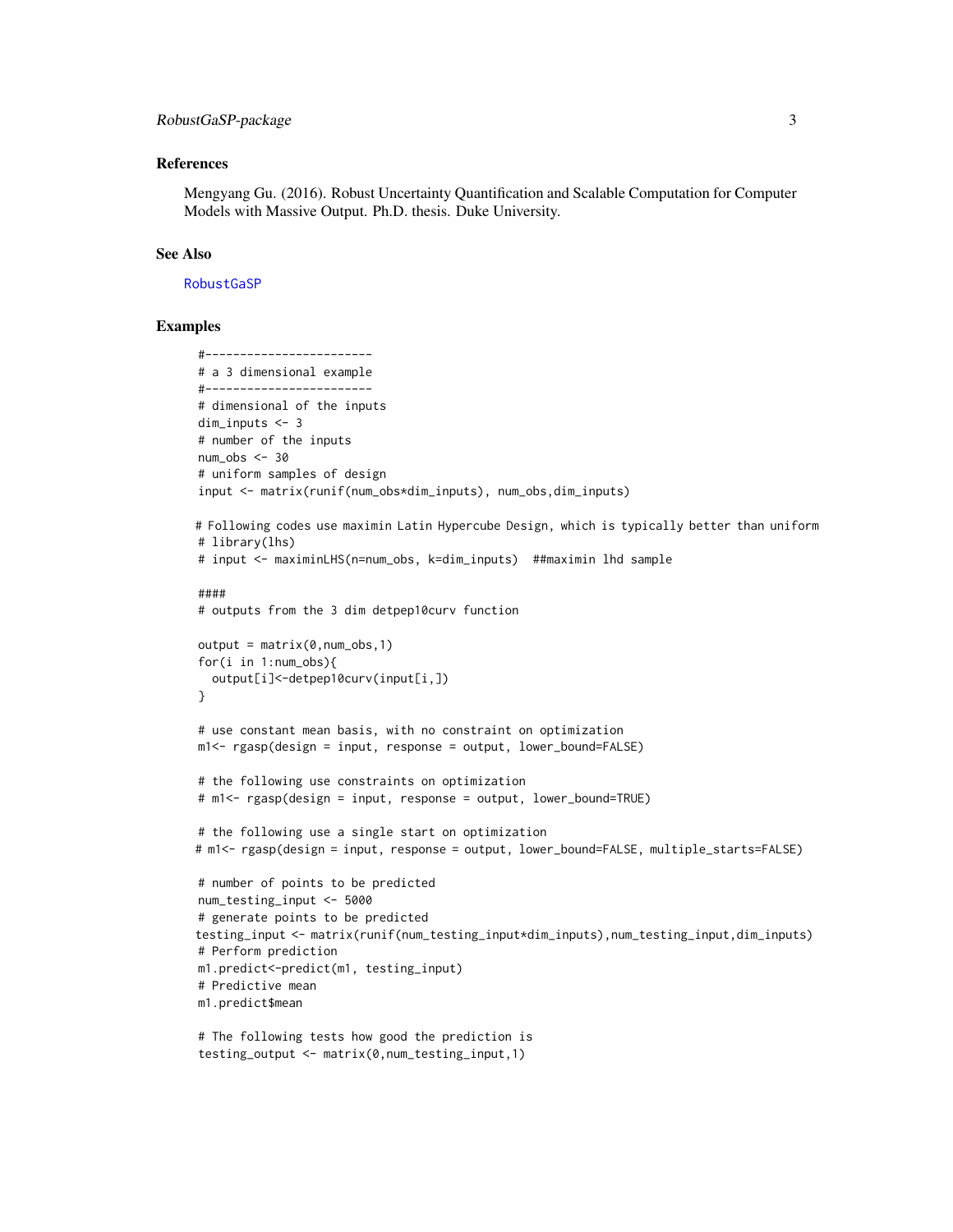# <span id="page-2-0"></span>References

Mengyang Gu. (2016). Robust Uncertainty Quantification and Scalable Computation for Computer Models with Massive Output. Ph.D. thesis. Duke University.

# See Also

# [RobustGaSP](#page-1-1)

```
#------------------------
# a 3 dimensional example
#------------------------
# dimensional of the inputs
dim_inputs <- 3
# number of the inputs
num\_obs < -30# uniform samples of design
input <- matrix(runif(num_obs*dim_inputs), num_obs,dim_inputs)
# Following codes use maximin Latin Hypercube Design, which is typically better than uniform
# library(lhs)
# input <- maximinLHS(n=num_obs, k=dim_inputs) ##maximin lhd sample
####
# outputs from the 3 dim detpep10curv function
output = matrix(0, num\_obs, 1)for(i in 1:num_obs){
  output[i]<-detpep10curv(input[i,])
}
# use constant mean basis, with no constraint on optimization
m1<- rgasp(design = input, response = output, lower_bound=FALSE)
# the following use constraints on optimization
# m1<- rgasp(design = input, response = output, lower_bound=TRUE)
# the following use a single start on optimization
# m1<- rgasp(design = input, response = output, lower_bound=FALSE, multiple_starts=FALSE)
# number of points to be predicted
num_testing_input <- 5000
# generate points to be predicted
testing_input <- matrix(runif(num_testing_input*dim_inputs),num_testing_input,dim_inputs)
# Perform prediction
m1.predict<-predict(m1, testing_input)
# Predictive mean
m1.predict$mean
# The following tests how good the prediction is
```

```
testing_output <- matrix(0,num_testing_input,1)
```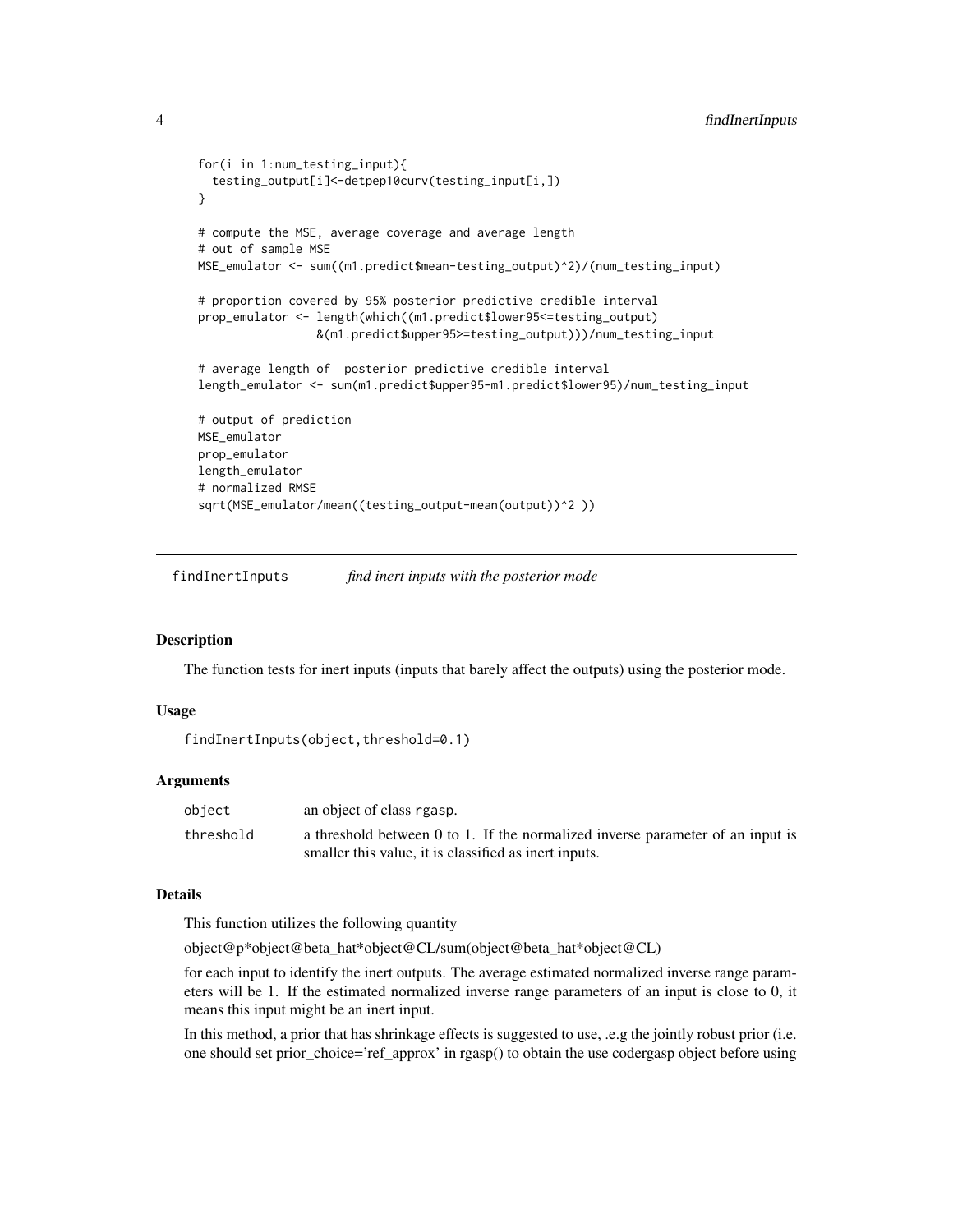```
for(i in 1:num_testing_input){
  testing_output[i]<-detpep10curv(testing_input[i,])
}
# compute the MSE, average coverage and average length
# out of sample MSE
MSE_emulator <- sum((m1.predict$mean-testing_output)^2)/(num_testing_input)
# proportion covered by 95% posterior predictive credible interval
prop_emulator <- length(which((m1.predict$lower95<=testing_output)
                 &(m1.predict$upper95>=testing_output)))/num_testing_input
# average length of posterior predictive credible interval
length_emulator <- sum(m1.predict$upper95-m1.predict$lower95)/num_testing_input
# output of prediction
MSE_emulator
prop_emulator
length_emulator
# normalized RMSE
sqrt(MSE_emulator/mean((testing_output-mean(output))^2 ))
```
findInertInputs *find inert inputs with the posterior mode*

# **Description**

The function tests for inert inputs (inputs that barely affect the outputs) using the posterior mode.

#### Usage

```
findInertInputs(object,threshold=0.1)
```
# Arguments

| object    | an object of class rgasp.                                                      |
|-----------|--------------------------------------------------------------------------------|
| threshold | a threshold between 0 to 1. If the normalized inverse parameter of an input is |
|           | smaller this value, it is classified as inert inputs.                          |

# Details

This function utilizes the following quantity

object@p\*object@beta\_hat\*object@CL/sum(object@beta\_hat\*object@CL)

for each input to identify the inert outputs. The average estimated normalized inverse range parameters will be 1. If the estimated normalized inverse range parameters of an input is close to 0, it means this input might be an inert input.

In this method, a prior that has shrinkage effects is suggested to use, .e.g the jointly robust prior (i.e. one should set prior\_choice='ref\_approx' in rgasp() to obtain the use codergasp object before using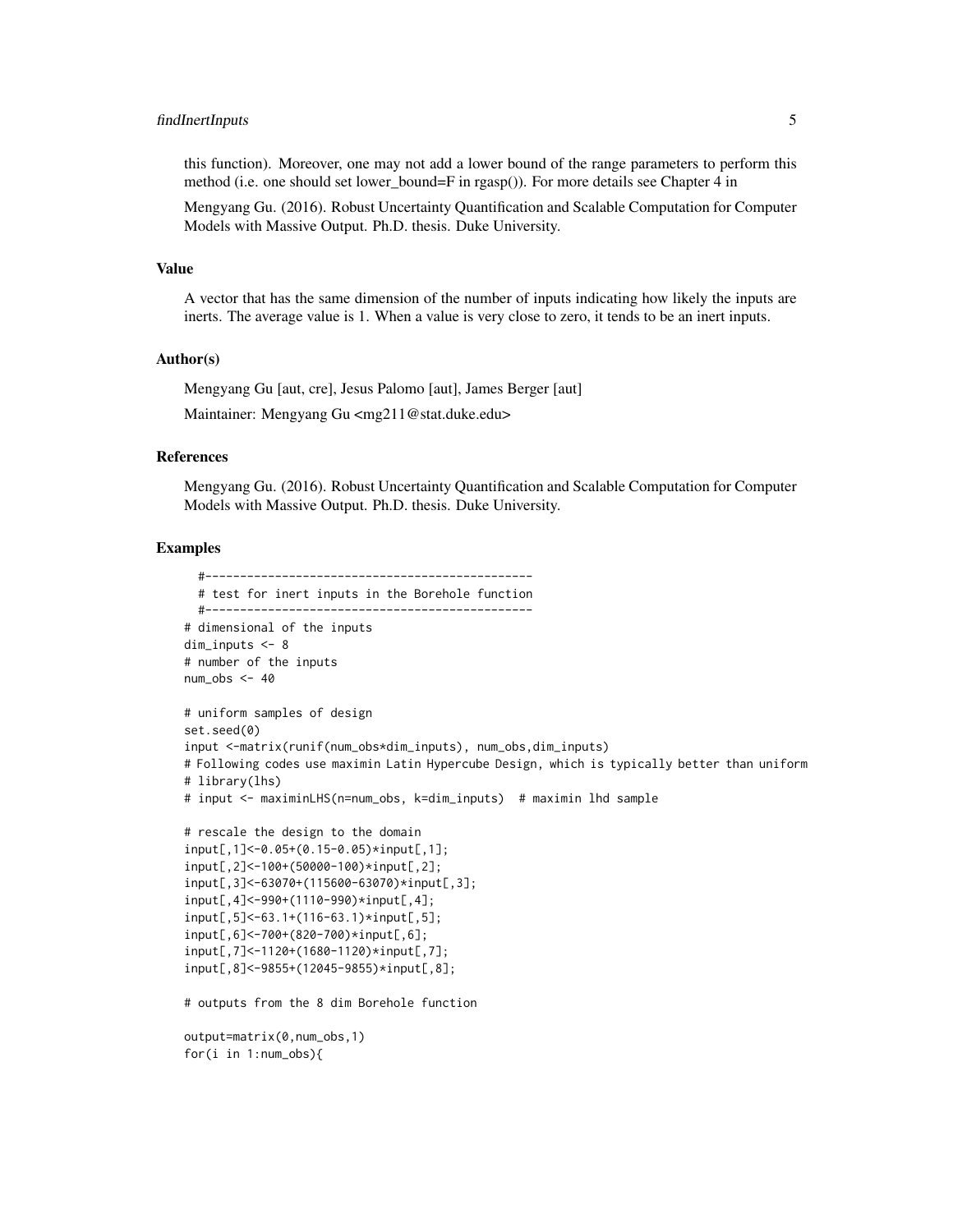# findInertInputs 5

this function). Moreover, one may not add a lower bound of the range parameters to perform this method (i.e. one should set lower\_bound=F in rgasp()). For more details see Chapter 4 in

Mengyang Gu. (2016). Robust Uncertainty Quantification and Scalable Computation for Computer Models with Massive Output. Ph.D. thesis. Duke University.

#### Value

A vector that has the same dimension of the number of inputs indicating how likely the inputs are inerts. The average value is 1. When a value is very close to zero, it tends to be an inert inputs.

# Author(s)

Mengyang Gu [aut, cre], Jesus Palomo [aut], James Berger [aut]

Maintainer: Mengyang Gu <mg211@stat.duke.edu>

# References

Mengyang Gu. (2016). Robust Uncertainty Quantification and Scalable Computation for Computer Models with Massive Output. Ph.D. thesis. Duke University.

```
#-----------------------------------------------
 # test for inert inputs in the Borehole function
 #-----------------------------------------------
# dimensional of the inputs
dim_inputs <- 8
# number of the inputs
num\_obs < -40# uniform samples of design
set.seed(0)
input <-matrix(runif(num_obs*dim_inputs), num_obs,dim_inputs)
# Following codes use maximin Latin Hypercube Design, which is typically better than uniform
# library(lhs)
# input <- maximinLHS(n=num_obs, k=dim_inputs) # maximin lhd sample
# rescale the design to the domain
input[,1]<-0.05+(0.15-0.05)*input[,1];
input[,2]<-100+(50000-100)*input[,2];
input[,3]<-63070+(115600-63070)*input[,3];
input[,4]<-990+(1110-990)*input[,4];
input[,5]<-63.1+(116-63.1)*input[,5];
input[,6]<-700+(820-700)*input[,6];
input[,7]<-1120+(1680-1120)*input[,7];
input[,8]<-9855+(12045-9855)*input[,8];
# outputs from the 8 dim Borehole function
output=matrix(0,num_obs,1)
for(i in 1:num_obs){
```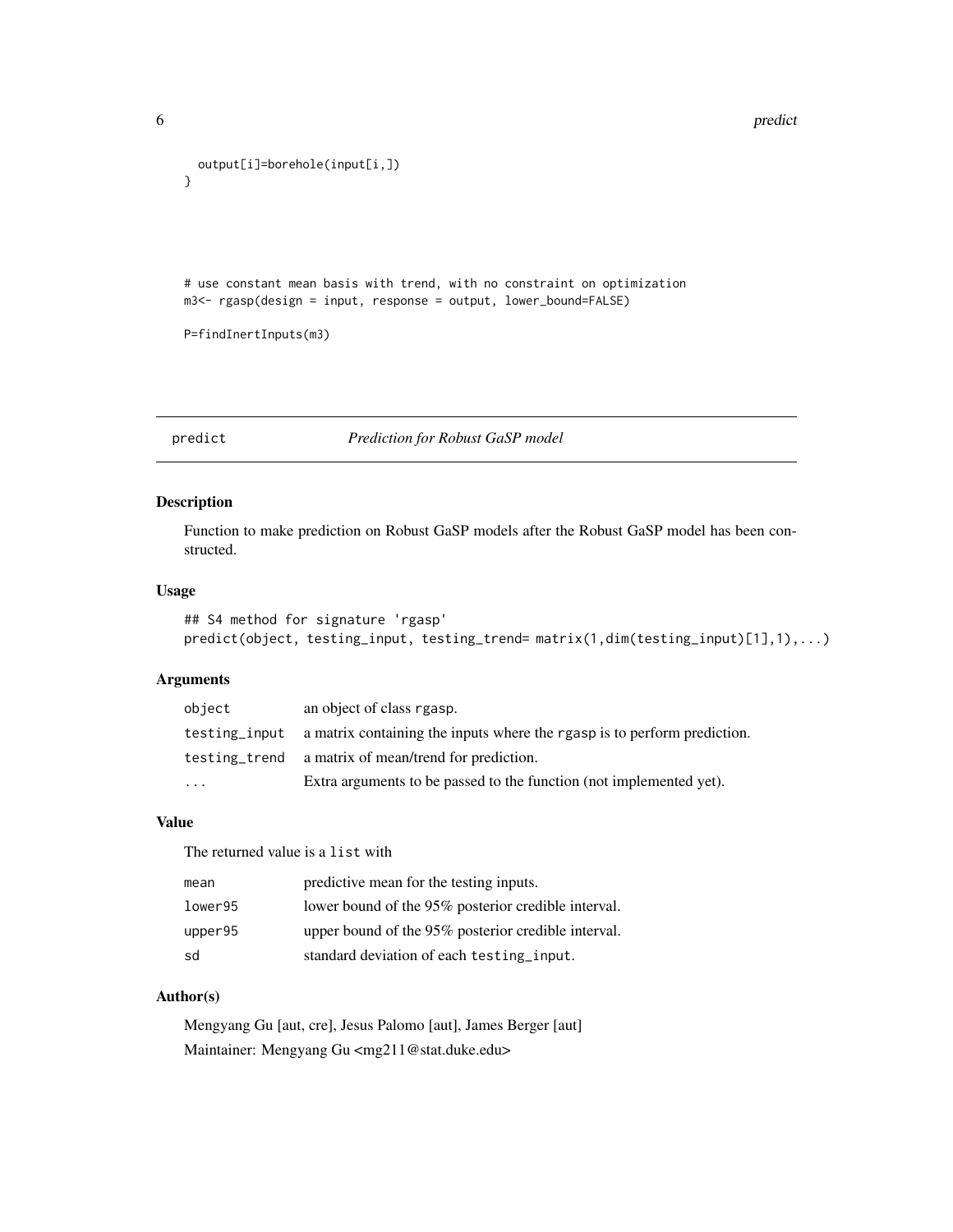```
6 prediction of the contract of the contract of the contract of the prediction of the prediction of the contract of the contract of the contract of the contract of the contract of the contract of the contract of the contra
```

```
output[i]=borehole(input[i,])
}
# use constant mean basis with trend, with no constraint on optimization
m3<- rgasp(design = input, response = output, lower_bound=FALSE)
P=findInertInputs(m3)
```
predict *Prediction for Robust GaSP model*

# <span id="page-5-1"></span>Description

Function to make prediction on Robust GaSP models after the Robust GaSP model has been constructed.

# Usage

```
## S4 method for signature 'rgasp'
predict(object, testing_input, testing_trend= matrix(1,dim(testing_input)[1],1),...)
```
# Arguments

| object    | an object of class rgasp.                                                              |
|-----------|----------------------------------------------------------------------------------------|
|           | testing input a matrix containing the inputs where the rgasp is to perform prediction. |
|           | testing trend a matrix of mean/trend for prediction.                                   |
| $\ddotsc$ | Extra arguments to be passed to the function (not implemented yet).                    |

# Value

The returned value is a list with

| mean    | predictive mean for the testing inputs.             |
|---------|-----------------------------------------------------|
| lower95 | lower bound of the 95% posterior credible interval. |
| upper95 | upper bound of the 95% posterior credible interval. |
| sd      | standard deviation of each testing_input.           |

# Author(s)

Mengyang Gu [aut, cre], Jesus Palomo [aut], James Berger [aut] Maintainer: Mengyang Gu <mg211@stat.duke.edu>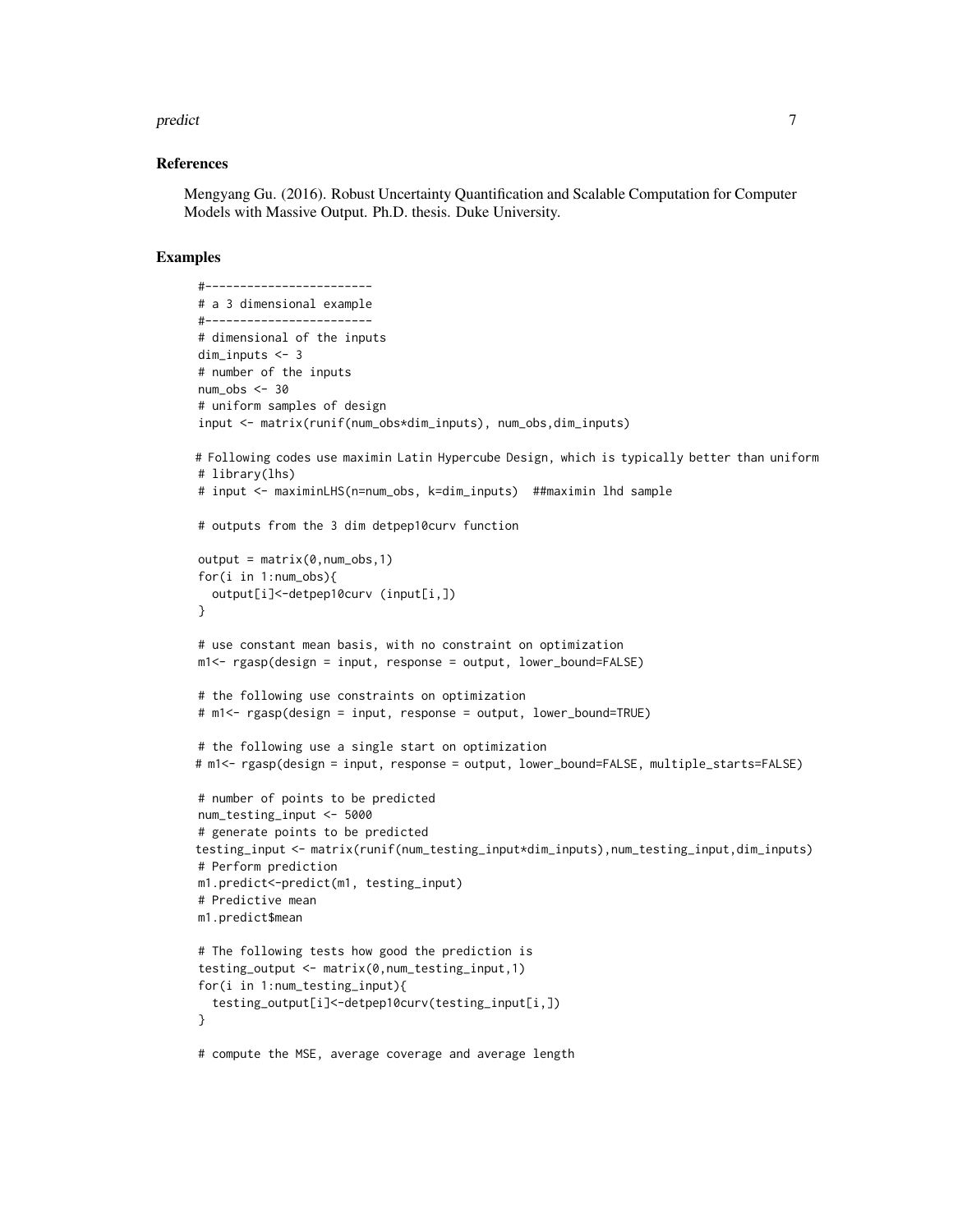#### predict the contract of the contract of the contract of the contract of the contract of the contract of the contract of the contract of the contract of the contract of the contract of the contract of the contract of the co

#### References

Mengyang Gu. (2016). Robust Uncertainty Quantification and Scalable Computation for Computer Models with Massive Output. Ph.D. thesis. Duke University.

```
#------------------------
# a 3 dimensional example
#------------------------
# dimensional of the inputs
dim_inputs <- 3
# number of the inputs
num\_obs < -30# uniform samples of design
input <- matrix(runif(num_obs*dim_inputs), num_obs,dim_inputs)
# Following codes use maximin Latin Hypercube Design, which is typically better than uniform
# library(lhs)
# input <- maximinLHS(n=num_obs, k=dim_inputs) ##maximin lhd sample
# outputs from the 3 dim detpep10curv function
output = matrix(0, num\_obs, 1)for(i in 1:num_obs){
  output[i]<-detpep10curv (input[i,])
}
# use constant mean basis, with no constraint on optimization
m1<- rgasp(design = input, response = output, lower_bound=FALSE)
# the following use constraints on optimization
# m1<- rgasp(design = input, response = output, lower_bound=TRUE)
# the following use a single start on optimization
# m1<- rgasp(design = input, response = output, lower_bound=FALSE, multiple_starts=FALSE)
# number of points to be predicted
num_testing_input <- 5000
# generate points to be predicted
testing_input <- matrix(runif(num_testing_input*dim_inputs),num_testing_input,dim_inputs)
# Perform prediction
m1.predict<-predict(m1, testing_input)
# Predictive mean
m1.predict$mean
# The following tests how good the prediction is
testing_output <- matrix(0,num_testing_input,1)
for(i in 1:num_testing_input){
  testing_output[i]<-detpep10curv(testing_input[i,])
}
# compute the MSE, average coverage and average length
```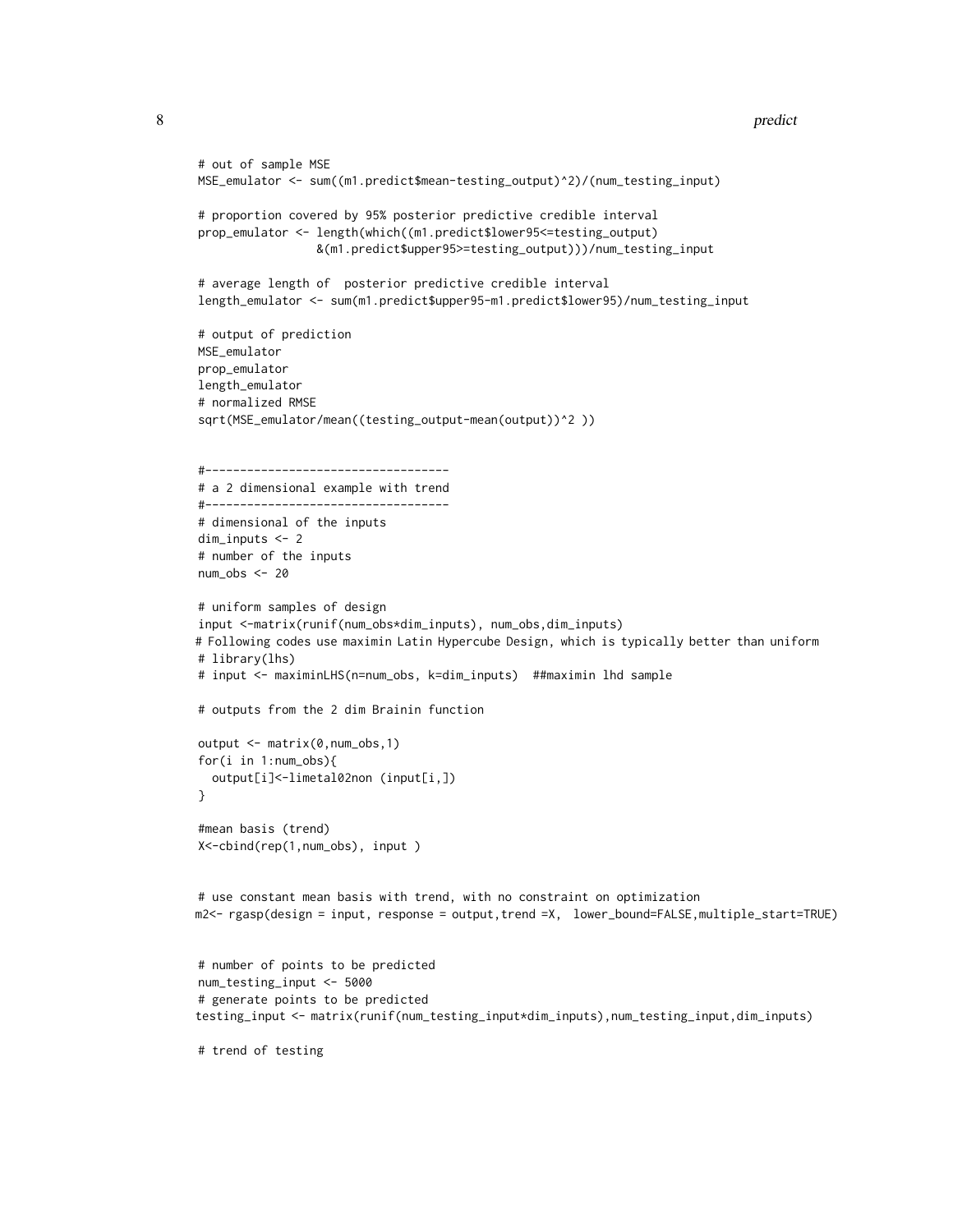```
# out of sample MSE
MSE_emulator <- sum((m1.predict$mean-testing_output)^2)/(num_testing_input)
# proportion covered by 95% posterior predictive credible interval
prop_emulator <- length(which((m1.predict$lower95<=testing_output)
                 &(m1.predict$upper95>=testing_output)))/num_testing_input
# average length of posterior predictive credible interval
length_emulator <- sum(m1.predict$upper95-m1.predict$lower95)/num_testing_input
# output of prediction
MSE_emulator
prop_emulator
length_emulator
# normalized RMSE
sqrt(MSE_emulator/mean((testing_output-mean(output))^2 ))
#-----------------------------------
# a 2 dimensional example with trend
#-----------------------------------
# dimensional of the inputs
dim_inputs <- 2
# number of the inputs
num_obs <- 20
# uniform samples of design
input <-matrix(runif(num_obs*dim_inputs), num_obs,dim_inputs)
# Following codes use maximin Latin Hypercube Design, which is typically better than uniform
# library(lhs)
# input <- maximinLHS(n=num_obs, k=dim_inputs) ##maximin lhd sample
# outputs from the 2 dim Brainin function
output <- matrix(0,num_obs,1)
for(i in 1:num_obs){
  output[i]<-limetal02non (input[i,])
}
#mean basis (trend)
X<-cbind(rep(1,num_obs), input )
# use constant mean basis with trend, with no constraint on optimization
m2<- rgasp(design = input, response = output,trend =X, lower_bound=FALSE,multiple_start=TRUE)
# number of points to be predicted
num_testing_input <- 5000
# generate points to be predicted
testing_input <- matrix(runif(num_testing_input*dim_inputs),num_testing_input,dim_inputs)
```
# trend of testing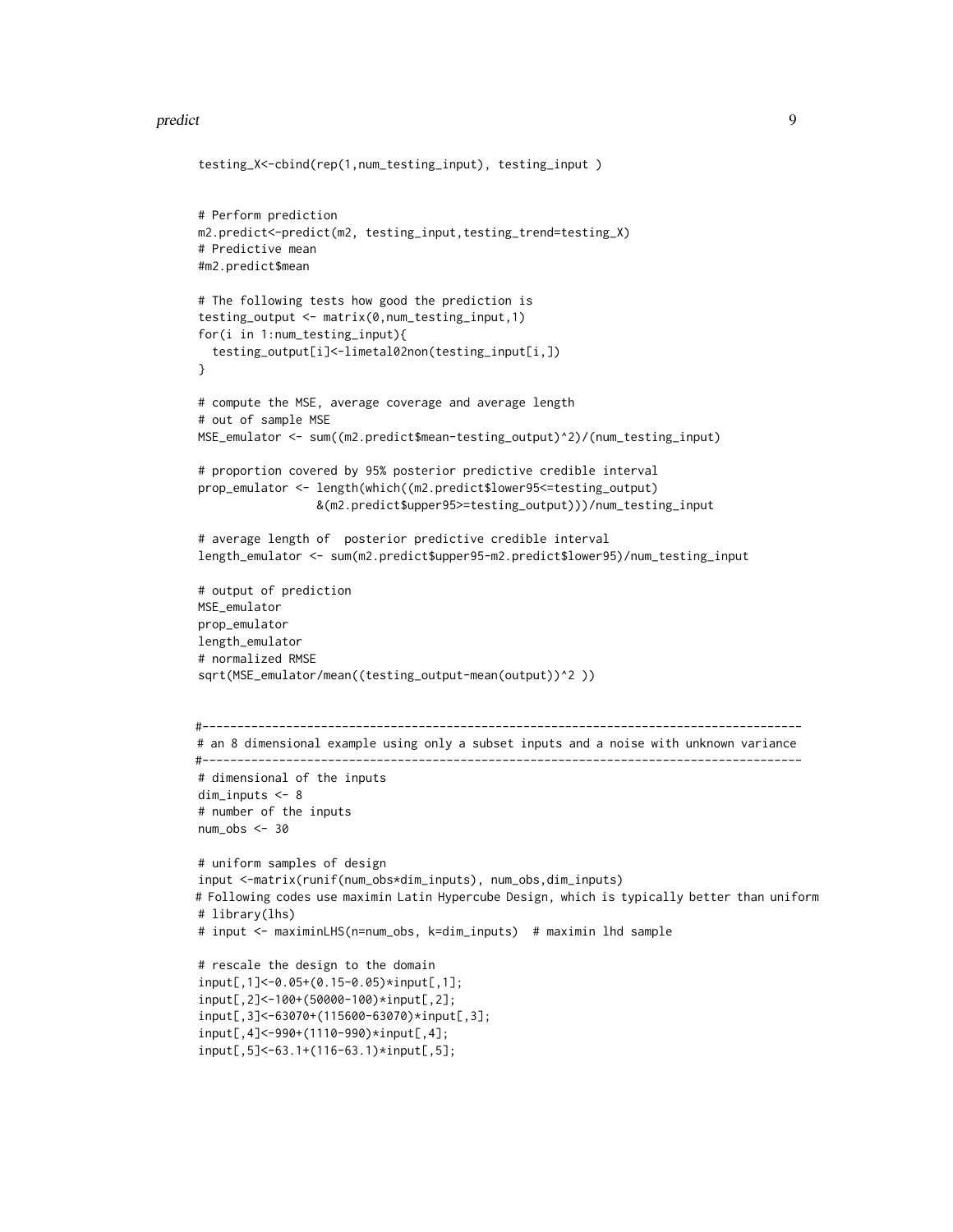#### predict the contract of the contract of the contract of the contract of the contract of the contract of the contract of the contract of the contract of the contract of the contract of the contract of the contract of the co

```
testing_X<-cbind(rep(1,num_testing_input), testing_input )
# Perform prediction
m2.predict<-predict(m2, testing_input,testing_trend=testing_X)
# Predictive mean
#m2.predict$mean
# The following tests how good the prediction is
testing_output <- matrix(0,num_testing_input,1)
for(i in 1:num_testing_input){
  testing_output[i]<-limetal02non(testing_input[i,])
}
# compute the MSE, average coverage and average length
# out of sample MSE
MSE_emulator <- sum((m2.predict$mean-testing_output)^2)/(num_testing_input)
# proportion covered by 95% posterior predictive credible interval
prop_emulator <- length(which((m2.predict$lower95<=testing_output)
                 &(m2.predict$upper95>=testing_output)))/num_testing_input
# average length of posterior predictive credible interval
length_emulator <- sum(m2.predict$upper95-m2.predict$lower95)/num_testing_input
# output of prediction
MSE_emulator
prop_emulator
length_emulator
# normalized RMSE
sqrt(MSE_emulator/mean((testing_output-mean(output))^2 ))
#--------------------------------------------------------------------------------------
# an 8 dimensional example using only a subset inputs and a noise with unknown variance
#--------------------------------------------------------------------------------------
# dimensional of the inputs
dim_inputs <- 8
# number of the inputs
num\_obs < -30# uniform samples of design
input <-matrix(runif(num_obs*dim_inputs), num_obs,dim_inputs)
# Following codes use maximin Latin Hypercube Design, which is typically better than uniform
# library(lhs)
# input <- maximinLHS(n=num_obs, k=dim_inputs) # maximin lhd sample
# rescale the design to the domain
input[,1]<-0.05+(0.15-0.05)*input[,1];
input[,2]<-100+(50000-100)*input[,2];
input[,3]<-63070+(115600-63070)*input[,3];
input[,4]<-990+(1110-990)*input[,4];
input[,5]<-63.1+(116-63.1)*input[,5];
```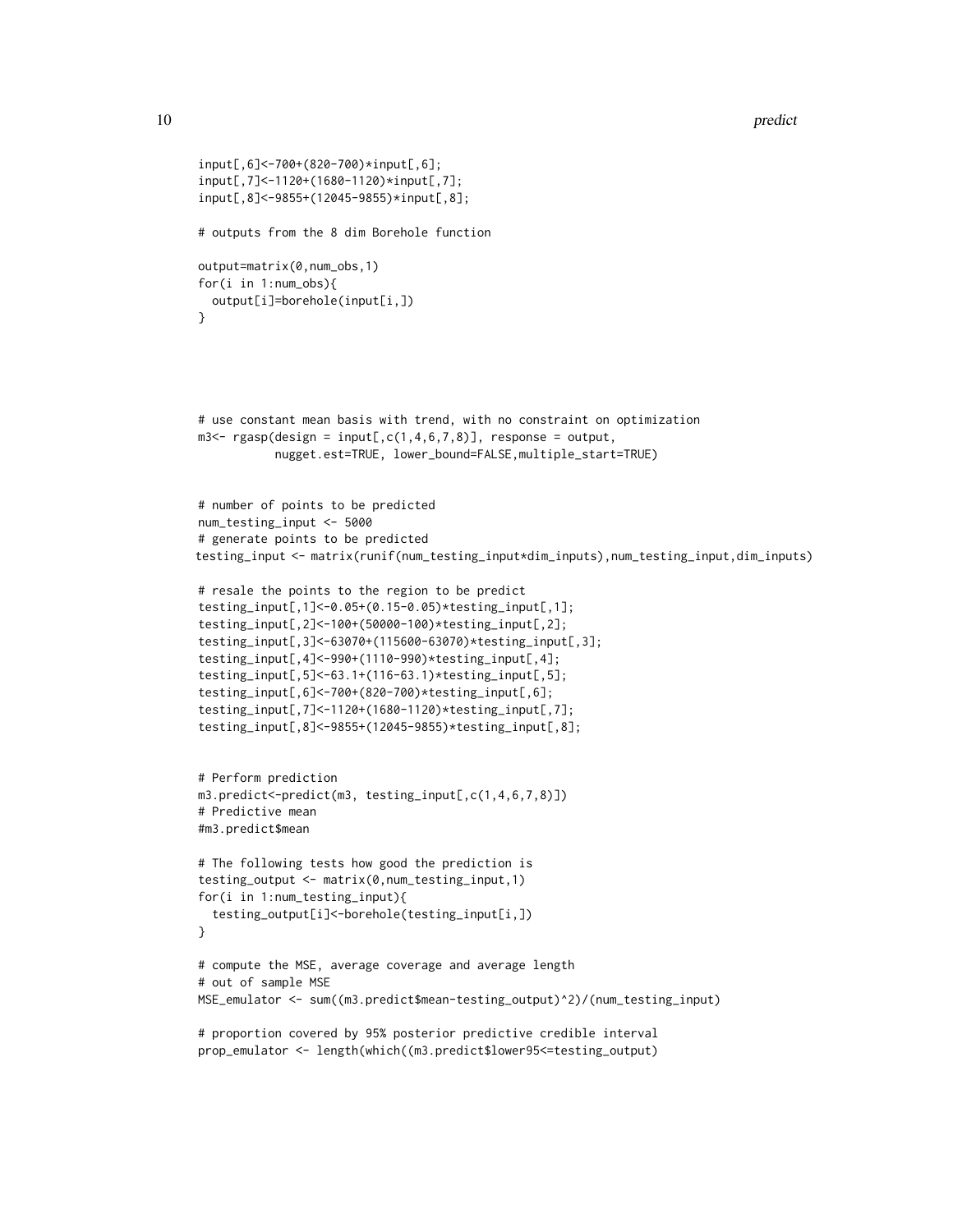```
input[,6]<-700+(820-700)*input[,6];
input[,7]<-1120+(1680-1120)*input[,7];
input[,8]<-9855+(12045-9855)*input[,8];
# outputs from the 8 dim Borehole function
output=matrix(0,num_obs,1)
for(i in 1:num_obs){
  output[i]=borehole(input[i,])
}
# use constant mean basis with trend, with no constraint on optimization
m3 < - rgasp(design = input[,c(1,4,6,7,8)], response = output,
           nugget.est=TRUE, lower_bound=FALSE,multiple_start=TRUE)
# number of points to be predicted
num_testing_input <- 5000
# generate points to be predicted
testing_input <- matrix(runif(num_testing_input*dim_inputs),num_testing_input,dim_inputs)
# resale the points to the region to be predict
testing_input[,1]<-0.05+(0.15-0.05)*testing_input[,1];
testing_input[,2]<-100+(50000-100)*testing_input[,2];
testing_input[,3]<-63070+(115600-63070)*testing_input[,3];
testing_input[,4]<-990+(1110-990)*testing_input[,4];
testing_input[,5]<-63.1+(116-63.1)*testing_input[,5];
testing_input[,6]<-700+(820-700)*testing_input[,6];
testing_input[,7]<-1120+(1680-1120)*testing_input[,7];
testing_input[,8]<-9855+(12045-9855)*testing_input[,8];
# Perform prediction
m3.predict<-predict(m3, testing_input[,c(1,4,6,7,8)])
# Predictive mean
#m3.predict$mean
# The following tests how good the prediction is
testing_output <- matrix(0,num_testing_input,1)
for(i in 1:num_testing_input){
  testing_output[i]<-borehole(testing_input[i,])
}
# compute the MSE, average coverage and average length
# out of sample MSE
MSE_emulator <- sum((m3.predict$mean-testing_output)^2)/(num_testing_input)
# proportion covered by 95% posterior predictive credible interval
```
prop\_emulator <- length(which((m3.predict\$lower95<=testing\_output)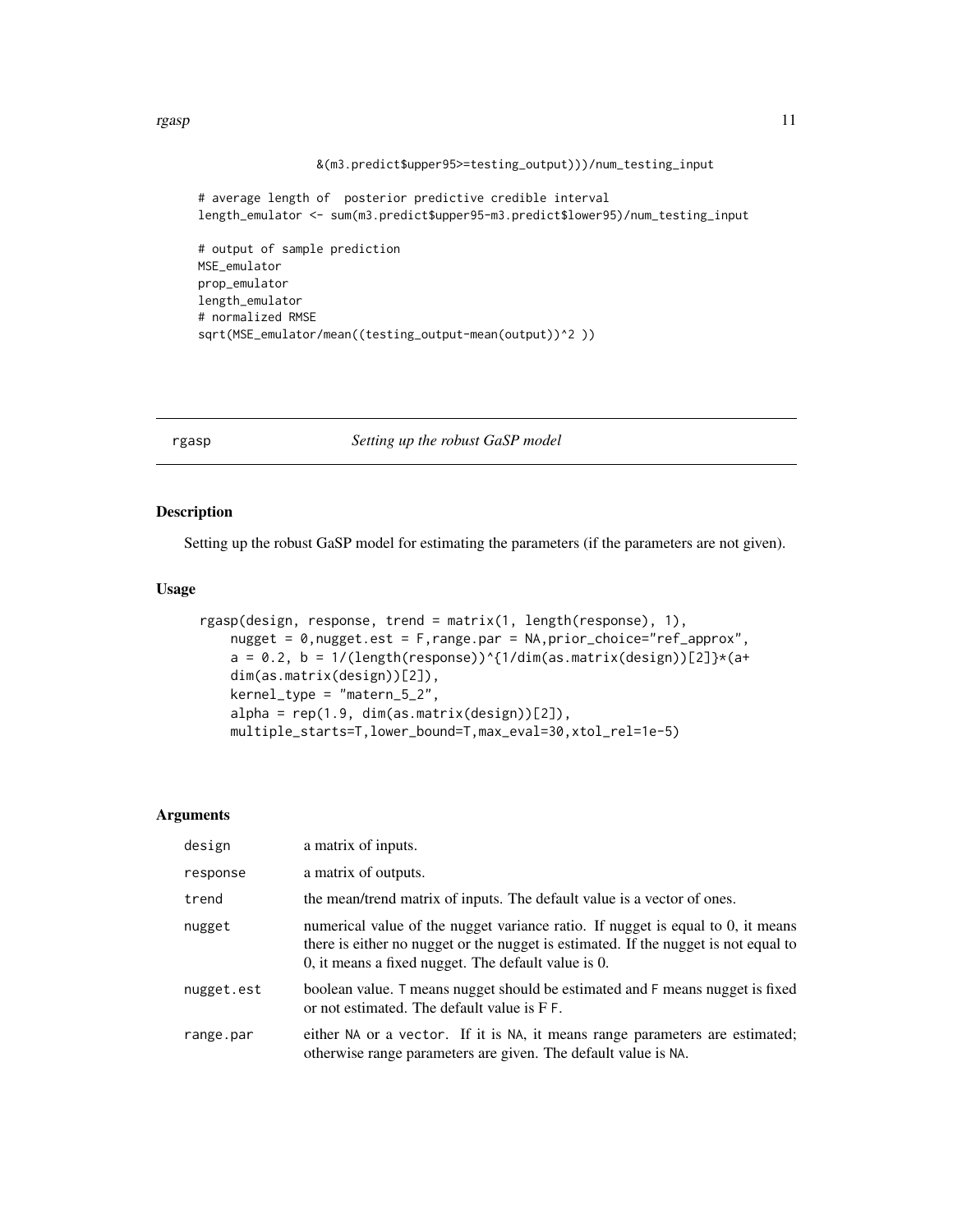<span id="page-10-0"></span>rgasp and the state of the state of the state of the state of the state of the state of the state of the state of the state of the state of the state of the state of the state of the state of the state of the state of the

```
&(m3.predict$upper95>=testing_output)))/num_testing_input
```

```
# average length of posterior predictive credible interval
length_emulator <- sum(m3.predict$upper95-m3.predict$lower95)/num_testing_input
# output of sample prediction
MSE_emulator
prop_emulator
length_emulator
# normalized RMSE
sqrt(MSE_emulator/mean((testing_output-mean(output))^2 ))
```
<span id="page-10-1"></span>rgasp *Setting up the robust GaSP model*

# Description

Setting up the robust GaSP model for estimating the parameters (if the parameters are not given).

# Usage

```
rgasp(design, response, trend = matrix(1, length(response), 1),
   nugget = 0,nugget.est = F,range.par = NA,prior_choice="ref_approx",
   a = 0.2, b = 1/(length(response))^{\wedge}(1/dim(as.matrix(design))[2])*(a+dim(as.matrix(design))[2]),
   kernel_type = "matern_5_2",
   alpha = rep(1.9, dim(as.matrix(design))[2]),multiple_starts=T,lower_bound=T,max_eval=30,xtol_rel=1e-5)
```
#### Arguments

| design     | a matrix of inputs.                                                                                                                                                                                                              |
|------------|----------------------------------------------------------------------------------------------------------------------------------------------------------------------------------------------------------------------------------|
| response   | a matrix of outputs.                                                                                                                                                                                                             |
| trend      | the mean/trend matrix of inputs. The default value is a vector of ones.                                                                                                                                                          |
| nugget     | numerical value of the nugget variance ratio. If nugget is equal to $0$ , it means<br>there is either no nugget or the nugget is estimated. If the nugget is not equal to<br>0, it means a fixed nugget. The default value is 0. |
| nugget.est | boolean value. T means nugget should be estimated and F means nugget is fixed<br>or not estimated. The default value is $F F$ .                                                                                                  |
| range.par  | either NA or a vector. If it is NA, it means range parameters are estimated;<br>otherwise range parameters are given. The default value is NA.                                                                                   |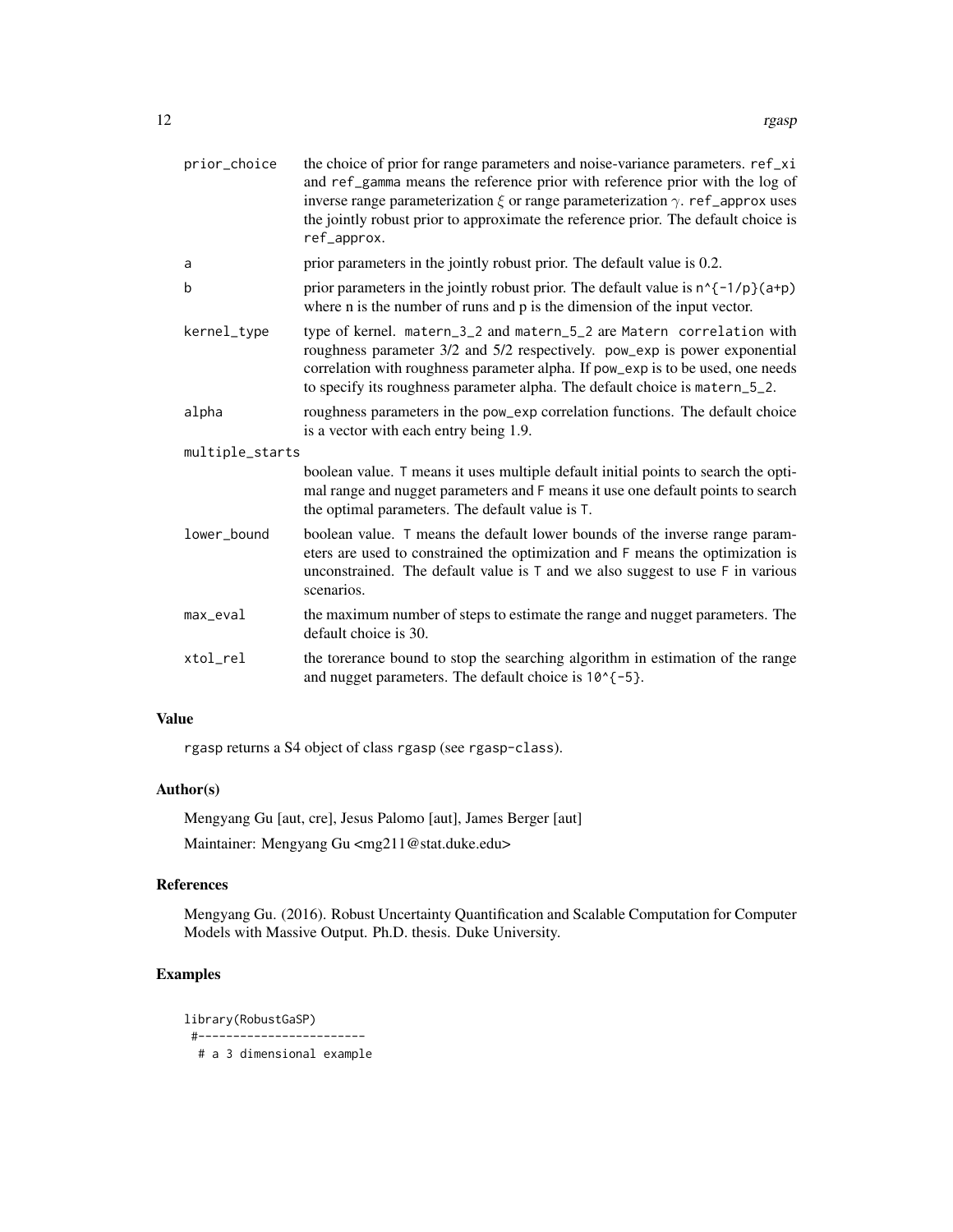| prior_choice    | the choice of prior for range parameters and noise-variance parameters. ref_xi<br>and ref_gamma means the reference prior with reference prior with the log of<br>inverse range parameterization $\xi$ or range parameterization $\gamma$ . ref _approx uses<br>the jointly robust prior to approximate the reference prior. The default choice is<br>ref_approx. |
|-----------------|-------------------------------------------------------------------------------------------------------------------------------------------------------------------------------------------------------------------------------------------------------------------------------------------------------------------------------------------------------------------|
| a               | prior parameters in the jointly robust prior. The default value is 0.2.                                                                                                                                                                                                                                                                                           |
| b               | prior parameters in the jointly robust prior. The default value is $n^{\prime}$ (-1/p}(a+p)<br>where $n$ is the number of runs and $p$ is the dimension of the input vector.                                                                                                                                                                                      |
| kernel_type     | type of kernel. matern_3_2 and matern_5_2 are Matern correlation with<br>roughness parameter 3/2 and 5/2 respectively. pow_exp is power exponential<br>correlation with roughness parameter alpha. If pow_exp is to be used, one needs<br>to specify its roughness parameter alpha. The default choice is matern_5_2.                                             |
| alpha           | roughness parameters in the pow_exp correlation functions. The default choice<br>is a vector with each entry being 1.9.                                                                                                                                                                                                                                           |
| multiple_starts |                                                                                                                                                                                                                                                                                                                                                                   |
|                 | boolean value. T means it uses multiple default initial points to search the opti-<br>mal range and nugget parameters and F means it use one default points to search<br>the optimal parameters. The default value is T.                                                                                                                                          |
| lower_bound     | boolean value. T means the default lower bounds of the inverse range param-<br>eters are used to constrained the optimization and F means the optimization is<br>unconstrained. The default value is $T$ and we also suggest to use $F$ in various<br>scenarios.                                                                                                  |
| $max$ _eval     | the maximum number of steps to estimate the range and nugget parameters. The<br>default choice is 30.                                                                                                                                                                                                                                                             |
| xtol_rel        | the torerance bound to stop the searching algorithm in estimation of the range<br>and nugget parameters. The default choice is $10^{-6}$ {-5}.                                                                                                                                                                                                                    |

# Value

rgasp returns a S4 object of class rgasp (see rgasp-class).

# Author(s)

Mengyang Gu [aut, cre], Jesus Palomo [aut], James Berger [aut] Maintainer: Mengyang Gu <mg211@stat.duke.edu>

# References

Mengyang Gu. (2016). Robust Uncertainty Quantification and Scalable Computation for Computer Models with Massive Output. Ph.D. thesis. Duke University.

# Examples

library(RobustGaSP) #------------------------ # a 3 dimensional example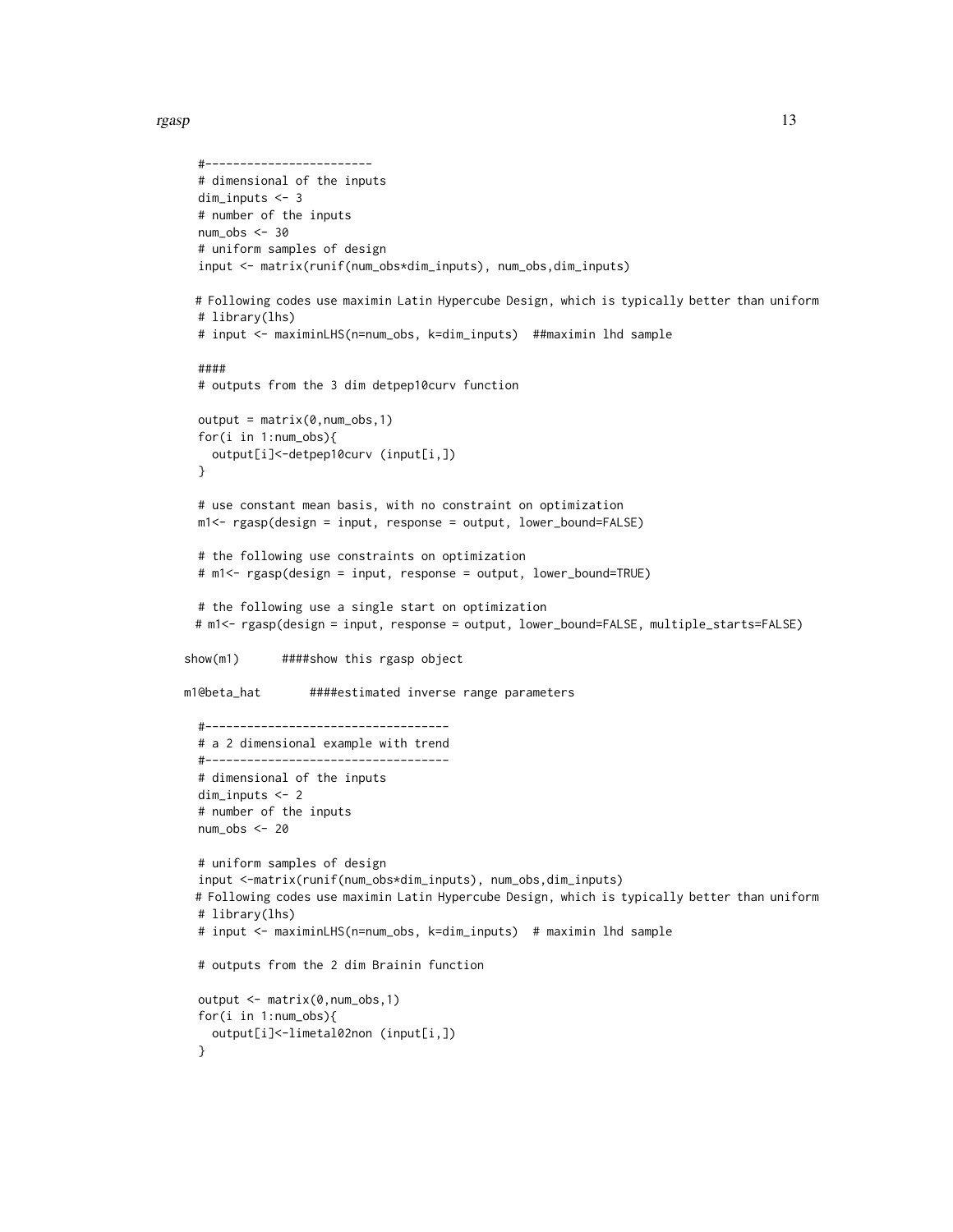```
#------------------------
 # dimensional of the inputs
 dim_inputs <- 3
 # number of the inputs
 num_obs <- 30
 # uniform samples of design
 input <- matrix(runif(num_obs*dim_inputs), num_obs,dim_inputs)
 # Following codes use maximin Latin Hypercube Design, which is typically better than uniform
 # library(lhs)
 # input <- maximinLHS(n=num_obs, k=dim_inputs) ##maximin lhd sample
 ####
 # outputs from the 3 dim detpep10curv function
 output = matrix(0, num\_obs, 1)for(i in 1:num_obs){
    output[i]<-detpep10curv (input[i,])
 }
 # use constant mean basis, with no constraint on optimization
 m1<- rgasp(design = input, response = output, lower_bound=FALSE)
 # the following use constraints on optimization
 # m1<- rgasp(design = input, response = output, lower_bound=TRUE)
 # the following use a single start on optimization
 # m1<- rgasp(design = input, response = output, lower_bound=FALSE, multiple_starts=FALSE)
show(m1) ####show this rgasp object
m1@beta_hat ####estimated inverse range parameters
  #-----------------------------------
 # a 2 dimensional example with trend
 #-----------------------------------
 # dimensional of the inputs
 dim_inputs <- 2
 # number of the inputs
 num\_obs < -20# uniform samples of design
 input <-matrix(runif(num_obs*dim_inputs), num_obs,dim_inputs)
 # Following codes use maximin Latin Hypercube Design, which is typically better than uniform
 # library(lhs)
 # input <- maximinLHS(n=num_obs, k=dim_inputs) # maximin lhd sample
 # outputs from the 2 dim Brainin function
 output <- matrix(0,num_obs,1)
 for(i in 1:num_obs){
   output[i]<-limetal02non (input[i,])
 }
```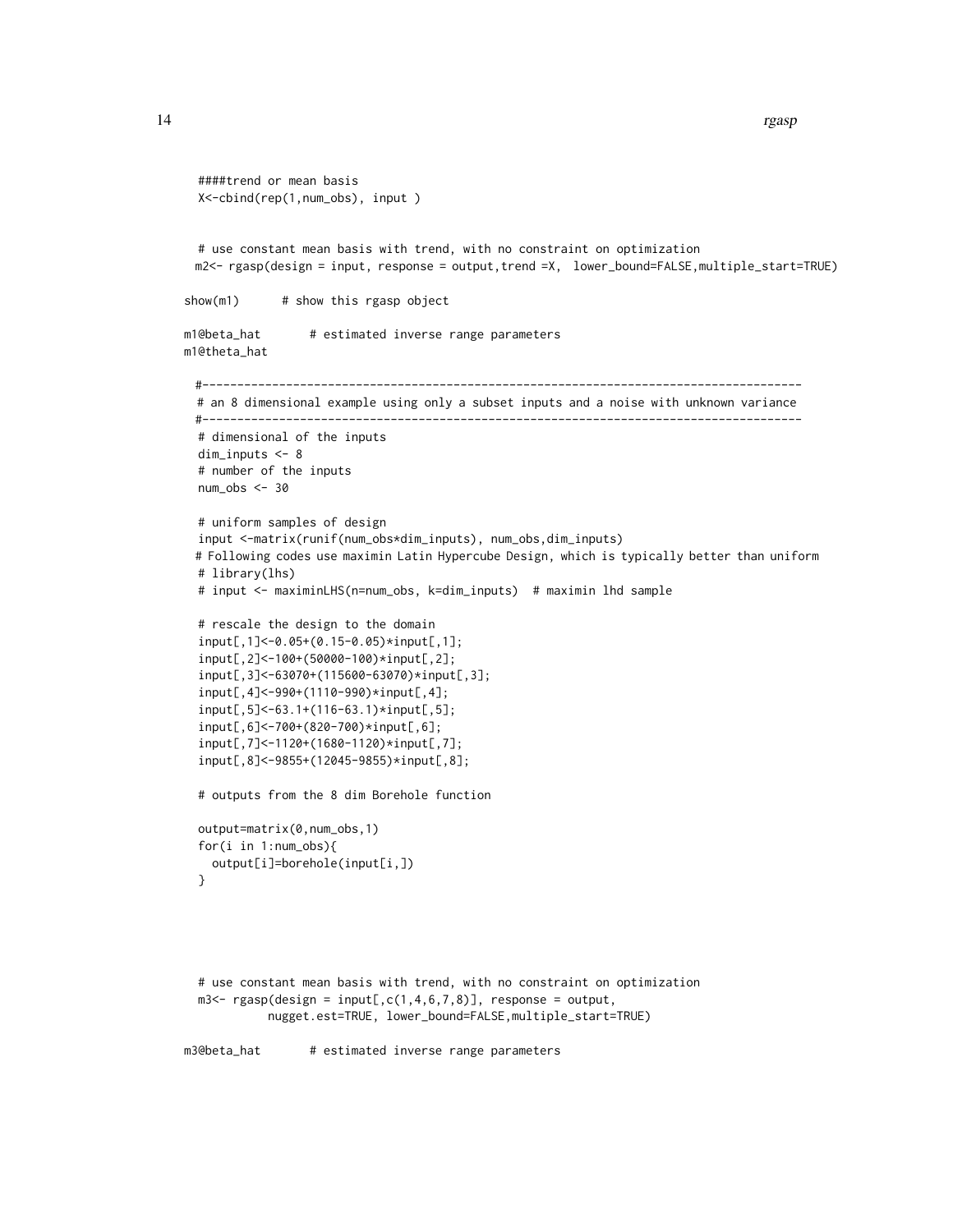```
14 rgasp
```

```
####trend or mean basis
 X<-cbind(rep(1,num_obs), input )
 # use constant mean basis with trend, with no constraint on optimization
 m2<- rgasp(design = input, response = output,trend =X, lower_bound=FALSE,multiple_start=TRUE)
show(m1) # show this rgasp object
m1@beta_hat # estimated inverse range parameters
m1@theta_hat
 #--------------------------------------------------------------------------------------
 # an 8 dimensional example using only a subset inputs and a noise with unknown variance
 #--------------------------------------------------------------------------------------
 # dimensional of the inputs
 dim_inputs <- 8
 # number of the inputs
 num\_obs < -30# uniform samples of design
 input <-matrix(runif(num_obs*dim_inputs), num_obs,dim_inputs)
 # Following codes use maximin Latin Hypercube Design, which is typically better than uniform
 # library(lhs)
 # input <- maximinLHS(n=num_obs, k=dim_inputs) # maximin lhd sample
 # rescale the design to the domain
 input[,1]<-0.05+(0.15-0.05)*input[,1];
 input[,2]<-100+(50000-100)*input[,2];
  input[,3]<-63070+(115600-63070)*input[,3];
 input[,4]<-990+(1110-990)*input[,4];
  input[,5]<-63.1+(116-63.1)*input[,5];
  input[,6]<-700+(820-700)*input[,6];
  input[,7]<-1120+(1680-1120)*input[,7];
 input[,8]<-9855+(12045-9855)*input[,8];
 # outputs from the 8 dim Borehole function
 output=matrix(0,num_obs,1)
 for(i in 1:num_obs){
   output[i]=borehole(input[i,])
 }
 # use constant mean basis with trend, with no constraint on optimization
 m3 < - rgasp(design = input[,c(1,4,6,7,8)], response = output,
           nugget.est=TRUE, lower_bound=FALSE,multiple_start=TRUE)
m3@beta_hat # estimated inverse range parameters
```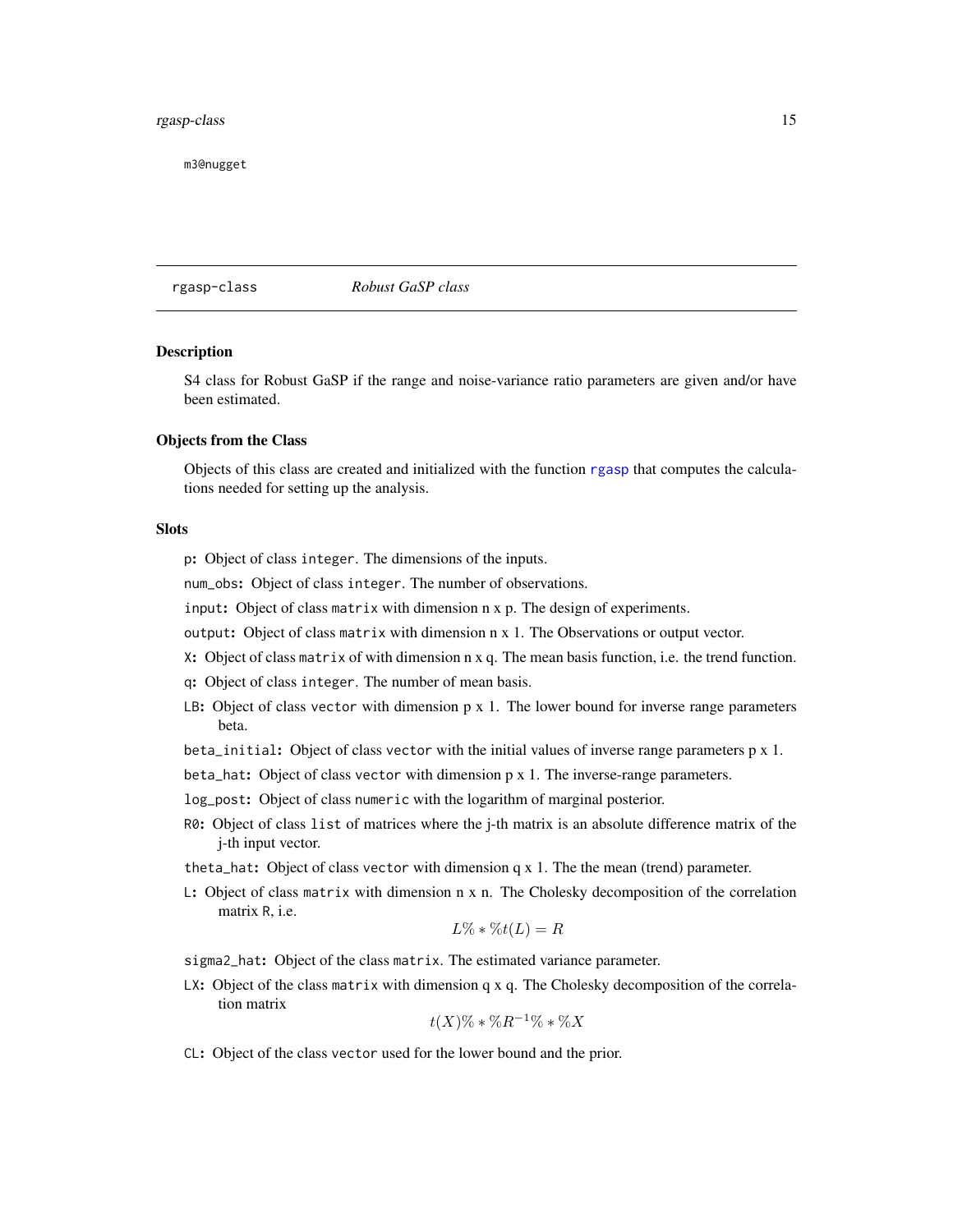# <span id="page-14-0"></span>rgasp-class 15

m3@nugget

rgasp-class *Robust GaSP class*

# Description

S4 class for Robust GaSP if the range and noise-variance ratio parameters are given and/or have been estimated.

#### Objects from the Class

Objects of this class are created and initialized with the function [rgasp](#page-10-1) that computes the calculations needed for setting up the analysis.

#### **Slots**

- p: Object of class integer. The dimensions of the inputs.
- num\_obs: Object of class integer. The number of observations.
- input: Object of class matrix with dimension n x p. The design of experiments.
- output: Object of class matrix with dimension n x 1. The Observations or output vector.
- X: Object of class matrix of with dimension n x q. The mean basis function, i.e. the trend function.
- q: Object of class integer. The number of mean basis.
- LB: Object of class vector with dimension  $p \times 1$ . The lower bound for inverse range parameters beta.
- beta\_initial: Object of class vector with the initial values of inverse range parameters p x 1.
- beta\_hat: Object of class vector with dimension p x 1. The inverse-range parameters.
- log\_post: Object of class numeric with the logarithm of marginal posterior.
- R0: Object of class list of matrices where the j-th matrix is an absolute difference matrix of the j-th input vector.
- theta<sub>rrativ</sub> Object of class vector with dimension  $q \times 1$ . The the mean (trend) parameter.
- L: Object of class matrix with dimension n x n. The Cholesky decomposition of the correlation matrix R, i.e.

$$
L\% * \%t(L) = R
$$

sigma2\_hat: Object of the class matrix. The estimated variance parameter.

 $LX:$  Object of the class matrix with dimension q x q. The Cholesky decomposition of the correlation matrix

$$
t(X)\%*\%R^{-1}\%*\%X
$$

CL: Object of the class vector used for the lower bound and the prior.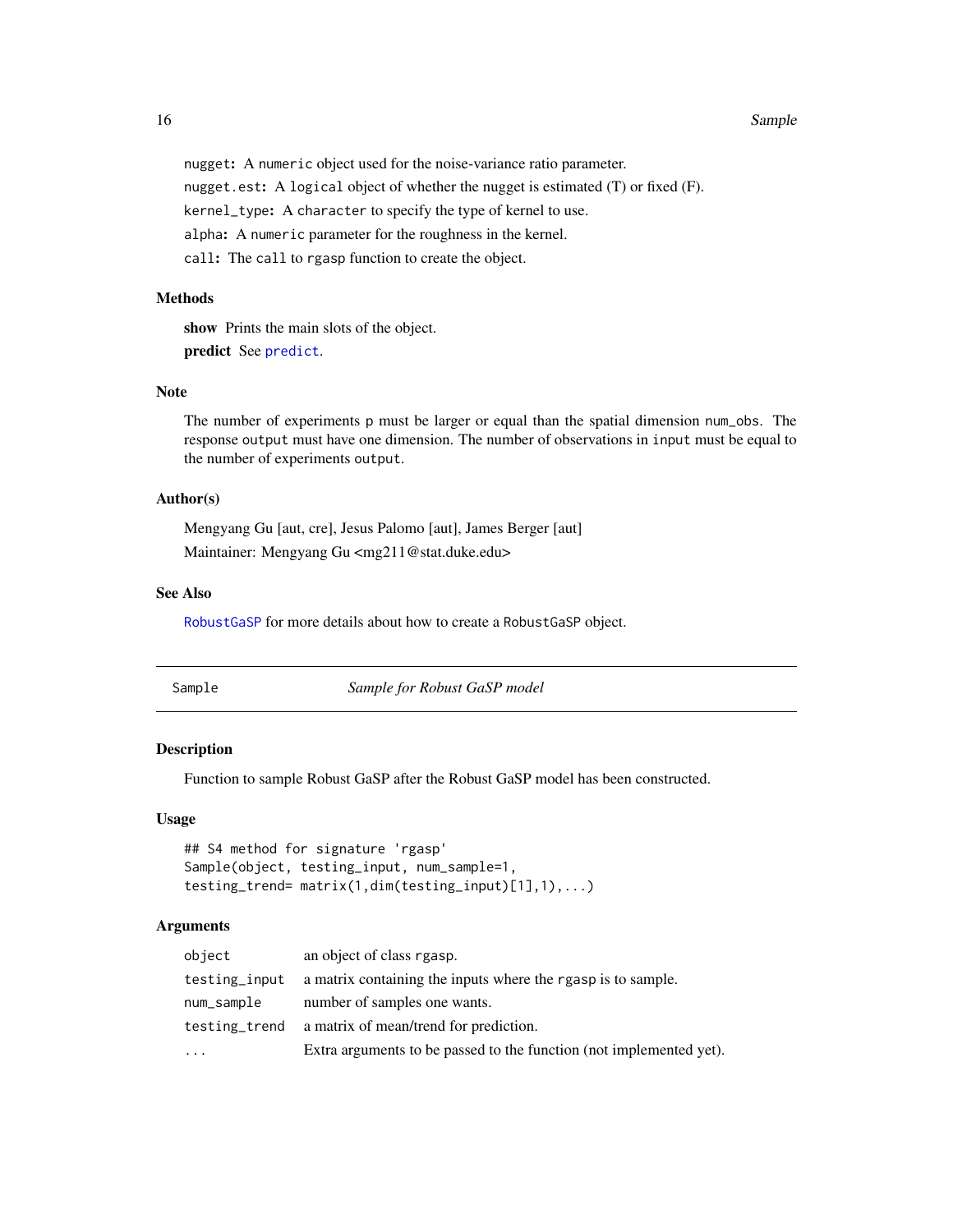#### <span id="page-15-0"></span>16 Sample

nugget: A numeric object used for the noise-variance ratio parameter. nugget.est: A logical object of whether the nugget is estimated (T) or fixed (F). kernel\_type: A character to specify the type of kernel to use. alpha: A numeric parameter for the roughness in the kernel. call: The call to rgasp function to create the object.

# **Methods**

show Prints the main slots of the object. predict See [predict](#page-5-1).

# Note

The number of experiments p must be larger or equal than the spatial dimension num\_obs. The response output must have one dimension. The number of observations in input must be equal to the number of experiments output.

# Author(s)

Mengyang Gu [aut, cre], Jesus Palomo [aut], James Berger [aut] Maintainer: Mengyang Gu <mg211@stat.duke.edu>

#### See Also

[RobustGaSP](#page-1-1) for more details about how to create a RobustGaSP object.

Sample *Sample for Robust GaSP model*

#### Description

Function to sample Robust GaSP after the Robust GaSP model has been constructed.

#### Usage

```
## S4 method for signature 'rgasp'
Sample(object, testing_input, num_sample=1,
testing_trend= matrix(1,dim(testing_input)[1],1),...)
```
## Arguments

| object        | an object of class rgasp.                                           |
|---------------|---------------------------------------------------------------------|
| testing_input | a matrix containing the inputs where the rgasp is to sample.        |
| num_sample    | number of samples one wants.                                        |
| testing_trend | a matrix of mean/trend for prediction.                              |
| .             | Extra arguments to be passed to the function (not implemented yet). |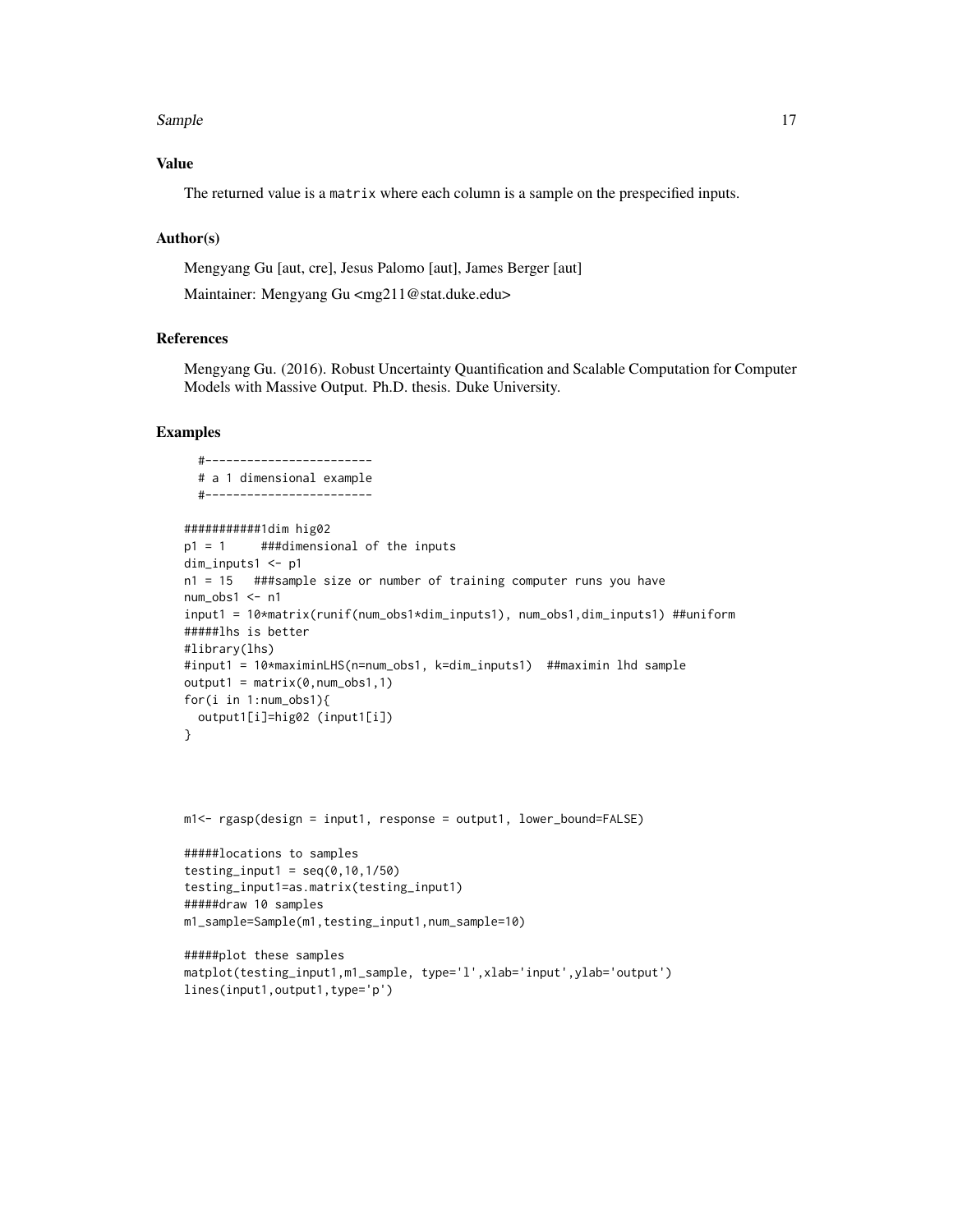#### Sample 17

# Value

The returned value is a matrix where each column is a sample on the prespecified inputs.

# Author(s)

Mengyang Gu [aut, cre], Jesus Palomo [aut], James Berger [aut]

Maintainer: Mengyang Gu <mg211@stat.duke.edu>

# References

Mengyang Gu. (2016). Robust Uncertainty Quantification and Scalable Computation for Computer Models with Massive Output. Ph.D. thesis. Duke University.

```
#------------------------
  # a 1 dimensional example
  #------------------------
###########1dim hig02
p1 = 1 ###dimensional of the inputs
dim_inputs1 <- p1
n1 = 15 ###sample size or number of training computer runs you have
num_obs1 <- n1
input1 = 10*matrix(runif(num_obs1*dim_inputs1), num_obs1,dim_inputs1) ##uniform
#####lhs is better
#library(lhs)
#input1 = 10*maximinLHS(n=num_obs1, k=dim_inputs1) ##maximin lhd sample
output1 = matrix(0, num\_obs1, 1)for(i in 1:num_obs1){
  output1[i]=hig02 (input1[i])
}
m1<- rgasp(design = input1, response = output1, lower_bound=FALSE)
#####locations to samples
testing_input1 = seq(0, 10, 1/50)testing_input1=as.matrix(testing_input1)
#####draw 10 samples
m1_sample=Sample(m1,testing_input1,num_sample=10)
#####plot these samples
matplot(testing_input1,m1_sample, type='l',xlab='input',ylab='output')
```

```
lines(input1,output1,type='p')
```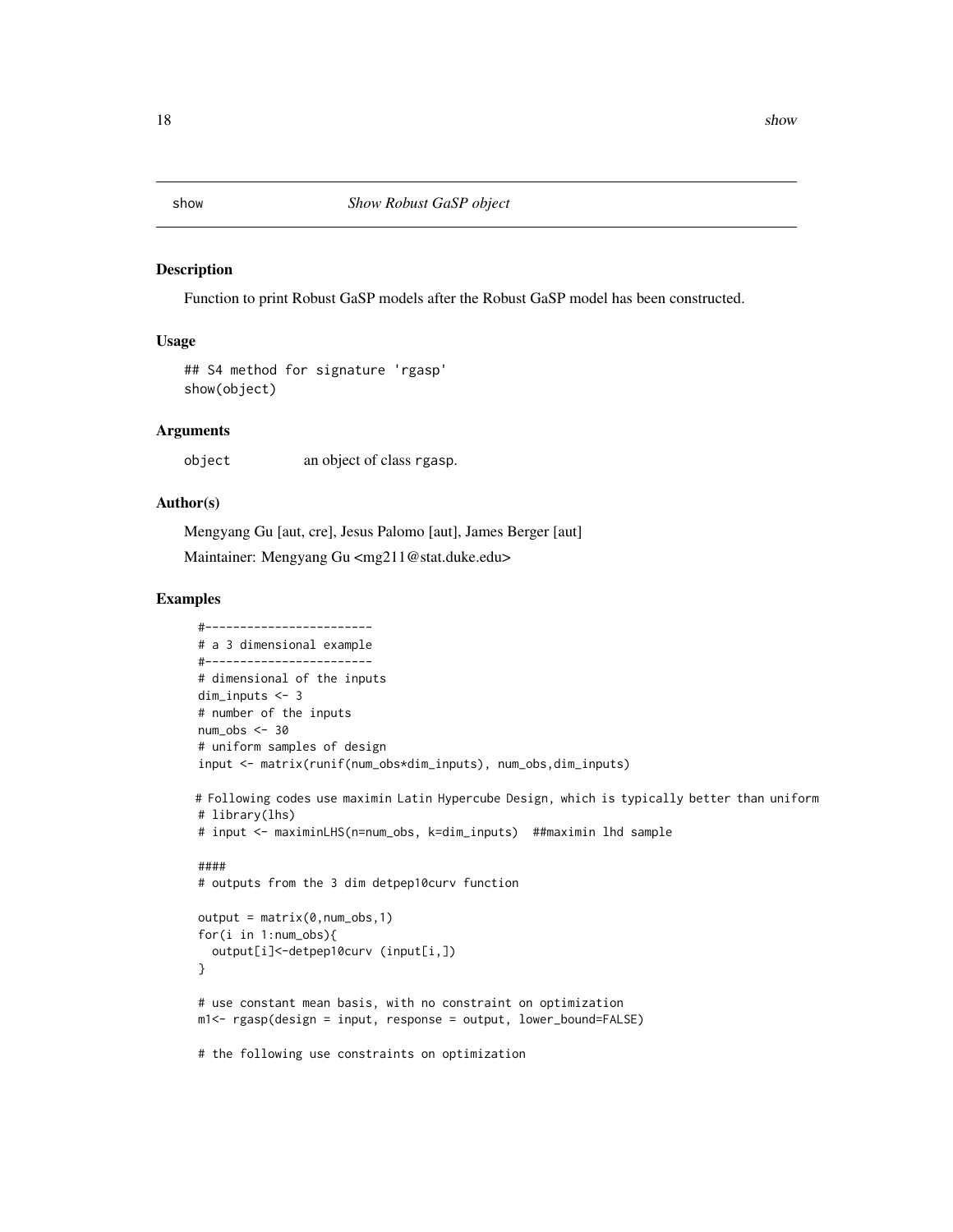#### Description

Function to print Robust GaSP models after the Robust GaSP model has been constructed.

# Usage

```
## S4 method for signature 'rgasp'
show(object)
```
#### Arguments

object an object of class rgasp.

# Author(s)

Mengyang Gu [aut, cre], Jesus Palomo [aut], James Berger [aut]

Maintainer: Mengyang Gu <mg211@stat.duke.edu>

```
#------------------------
# a 3 dimensional example
#------------------------
# dimensional of the inputs
dim_inputs <- 3
# number of the inputs
num\_obs < -30# uniform samples of design
input <- matrix(runif(num_obs*dim_inputs), num_obs,dim_inputs)
# Following codes use maximin Latin Hypercube Design, which is typically better than uniform
# library(lhs)
# input <- maximinLHS(n=num_obs, k=dim_inputs) ##maximin lhd sample
####
# outputs from the 3 dim detpep10curv function
output = matrix(0, num\_obs, 1)for(i in 1:num_obs){
  output[i]<-detpep10curv (input[i,])
}
# use constant mean basis, with no constraint on optimization
m1<- rgasp(design = input, response = output, lower_bound=FALSE)
# the following use constraints on optimization
```
<span id="page-17-0"></span>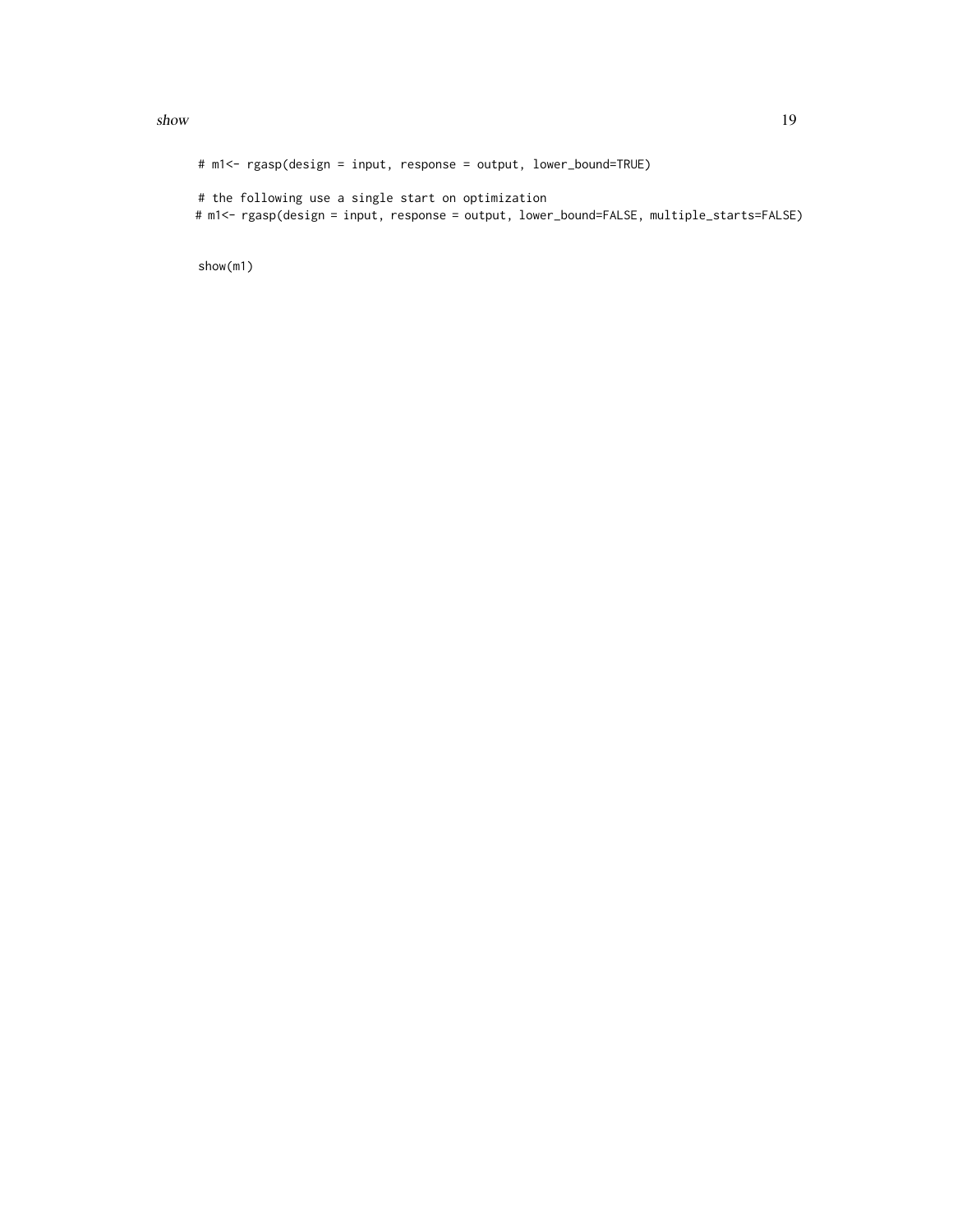#### $s$ how  $19$

# m1<- rgasp(design = input, response = output, lower\_bound=TRUE) # the following use a single start on optimization # m1<- rgasp(design = input, response = output, lower\_bound=FALSE, multiple\_starts=FALSE)

show(m1)